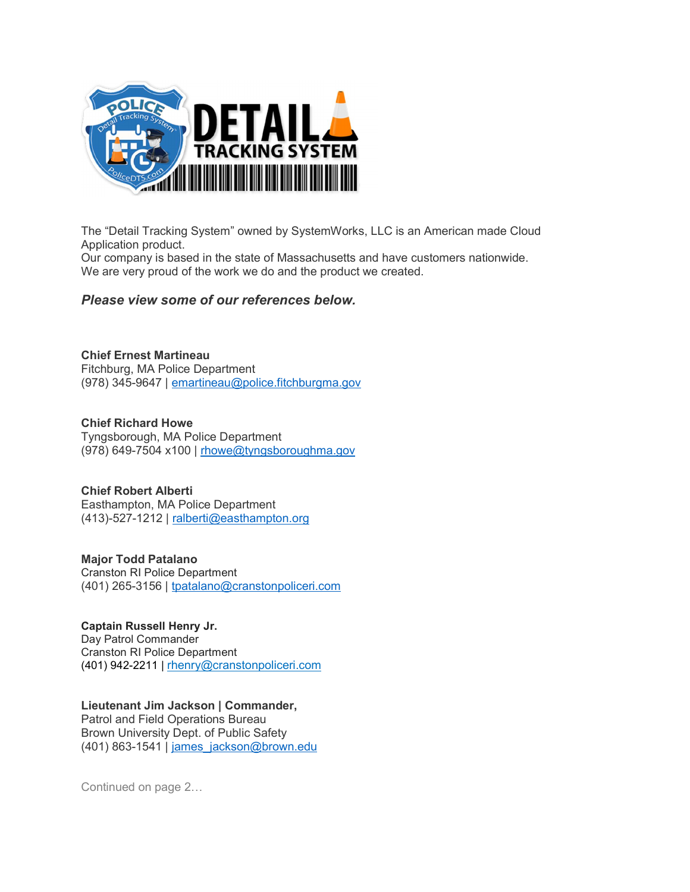

The "Detail Tracking System" owned by SystemWorks, LLC is an American made Cloud Application product.

Our company is based in the state of Massachusetts and have customers nationwide. We are very proud of the work we do and the product we created.

## Please view some of our references below.

Chief Ernest Martineau Fitchburg, MA Police Department (978) 345-9647 | emartineau@police.fitchburgma.gov

Chief Richard Howe Tyngsborough, MA Police Department (978) 649-7504 x100 | rhowe@tyngsboroughma.gov

Chief Robert Alberti Easthampton, MA Police Department  $(413)-527-1212$  | ralberti@easthampton.org

Major Todd Patalano Cranston RI Police Department (401) 265-3156 | tpatalano@cranstonpoliceri.com

Captain Russell Henry Jr. Day Patrol Commander Cranston RI Police Department (401) 942-2211 | rhenry@cranstonpoliceri.com

Lieutenant Jim Jackson | Commander,

Patrol and Field Operations Bureau Brown University Dept. of Public Safety (401) 863-1541 | james\_jackson@brown.edu

Continued on page 2…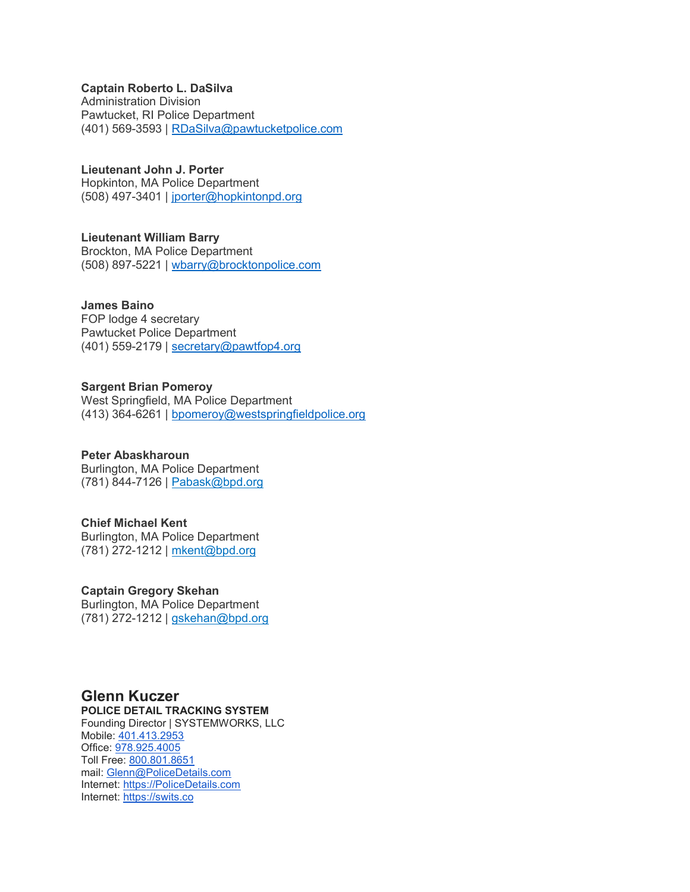## Captain Roberto L. DaSilva

Administration Division Pawtucket, RI Police Department (401) 569-3593 | RDaSilva@pawtucketpolice.com

Lieutenant John J. Porter Hopkinton, MA Police Department (508) 497-3401 | jporter@hopkintonpd.org

Lieutenant William Barry Brockton, MA Police Department (508) 897-5221 | wbarry@brocktonpolice.com

James Baino FOP lodge 4 secretary Pawtucket Police Department (401) 559-2179 | secretary@pawtfop4.org

Sargent Brian Pomeroy West Springfield, MA Police Department (413) 364-6261 | bpomeroy@westspringfieldpolice.org

Peter Abaskharoun Burlington, MA Police Department (781) 844-7126 | Pabask@bpd.org

Chief Michael Kent Burlington, MA Police Department (781) 272-1212 | mkent@bpd.org

Captain Gregory Skehan Burlington, MA Police Department (781) 272-1212 | gskehan@bpd.org

## Glenn Kuczer

POLICE DETAIL TRACKING SYSTEM Founding Director | SYSTEMWORKS, LLC Mobile: 401.413.2953 Office: 978.925.4005 Toll Free: 800.801.8651 mail: Glenn@PoliceDetails.com Internet: https://PoliceDetails.com Internet: https://swits.co